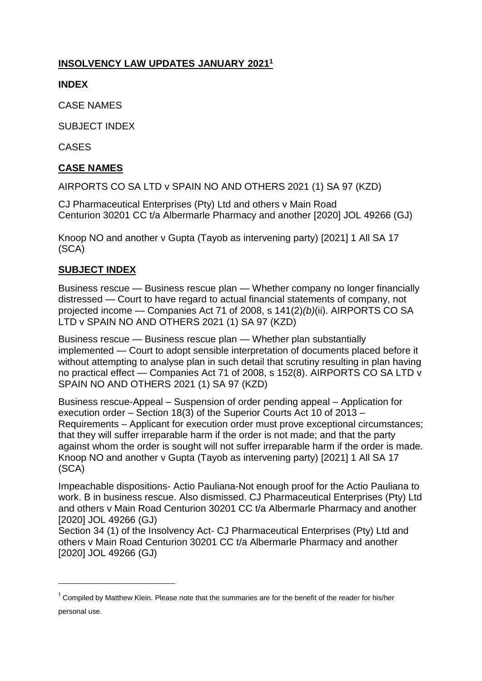# **INSOLVENCY LAW UPDATES JANUARY 2021 1**

### **INDEX**

CASE NAMES

SUBJECT INDEX

CASES

## **CASE NAMES**

AIRPORTS CO SA LTD v SPAIN NO AND OTHERS 2021 (1) SA 97 (KZD)

CJ Pharmaceutical Enterprises (Pty) Ltd and others v Main Road Centurion 30201 CC t/a Albermarle Pharmacy and another [2020] JOL 49266 (GJ)

Knoop NO and another v Gupta (Tayob as intervening party) [2021] 1 All SA 17 (SCA)

### **SUBJECT INDEX**

**.** 

Business rescue — Business rescue plan — Whether company no longer financially distressed — Court to have regard to actual financial statements of company, not projected income — Companies Act 71 of 2008, s 141(2)*(b)*(ii). AIRPORTS CO SA LTD v SPAIN NO AND OTHERS 2021 (1) SA 97 (KZD)

Business rescue — Business rescue plan — Whether plan substantially implemented — Court to adopt sensible interpretation of documents placed before it without attempting to analyse plan in such detail that scrutiny resulting in plan having no practical effect — Companies Act 71 of 2008, s 152(8). AIRPORTS CO SA LTD v SPAIN NO AND OTHERS 2021 (1) SA 97 (KZD)

Business rescue-Appeal – Suspension of order pending appeal – Application for execution order – Section 18(3) of the Superior Courts Act 10 of 2013 – Requirements – Applicant for execution order must prove exceptional circumstances; that they will suffer irreparable harm if the order is not made; and that the party against whom the order is sought will not suffer irreparable harm if the order is made. Knoop NO and another v Gupta (Tayob as intervening party) [2021] 1 All SA 17 (SCA)

Impeachable dispositions- Actio Pauliana-Not enough proof for the Actio Pauliana to work. B in business rescue. Also dismissed. CJ Pharmaceutical Enterprises (Pty) Ltd and others v Main Road Centurion 30201 CC t/a Albermarle Pharmacy and another [2020] JOL 49266 (GJ)

Section 34 (1) of the Insolvency Act- CJ Pharmaceutical Enterprises (Pty) Ltd and others v Main Road Centurion 30201 CC t/a Albermarle Pharmacy and another [2020] JOL 49266 (GJ)

<sup>&</sup>lt;sup>1</sup> Compiled by Matthew Klein. Please note that the summaries are for the benefit of the reader for his/her personal use.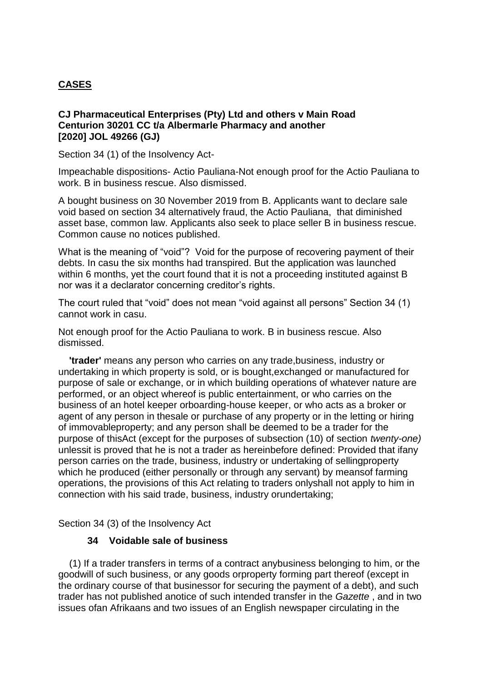### **CASES**

### **CJ Pharmaceutical Enterprises (Pty) Ltd and others v Main Road Centurion 30201 CC t/a Albermarle Pharmacy and another [2020] JOL 49266 (GJ)**

Section 34 (1) of the Insolvency Act-

Impeachable dispositions- Actio Pauliana-Not enough proof for the Actio Pauliana to work. B in business rescue. Also dismissed.

A bought business on 30 November 2019 from B. Applicants want to declare sale void based on section 34 alternatively fraud, the Actio Pauliana, that diminished asset base, common law. Applicants also seek to place seller B in business rescue. Common cause no notices published.

What is the meaning of "void"? Void for the purpose of recovering payment of their debts. In casu the six months had transpired. But the application was launched within 6 months, yet the court found that it is not a proceeding instituted against B nor was it a declarator concerning creditor's rights.

The court ruled that "void" does not mean "void against all persons" Section 34 (1) cannot work in casu.

Not enough proof for the Actio Pauliana to work. B in business rescue. Also dismissed.

 **'trader'** means any person who carries on any trade,business, industry or undertaking in which property is sold, or is bought,exchanged or manufactured for purpose of sale or exchange, or in which building operations of whatever nature are performed, or an object whereof is public entertainment, or who carries on the business of an hotel keeper orboarding-house keeper, or who acts as a broker or agent of any person in thesale or purchase of any property or in the letting or hiring of immovableproperty; and any person shall be deemed to be a trader for the purpose of thisAct (except for the purposes of subsection (10) of section *twenty-one)* unlessit is proved that he is not a trader as hereinbefore defined: Provided that ifany person carries on the trade, business, industry or undertaking of sellingproperty which he produced (either personally or through any servant) by meansof farming operations, the provisions of this Act relating to traders onlyshall not apply to him in connection with his said trade, business, industry orundertaking;

Section 34 (3) of the Insolvency Act

#### **34 Voidable sale of business**

 (1) If a trader transfers in terms of a contract anybusiness belonging to him, or the goodwill of such business, or any goods orproperty forming part thereof (except in the ordinary course of that businessor for securing the payment of a debt), and such trader has not published anotice of such intended transfer in the *Gazette* , and in two issues ofan Afrikaans and two issues of an English newspaper circulating in the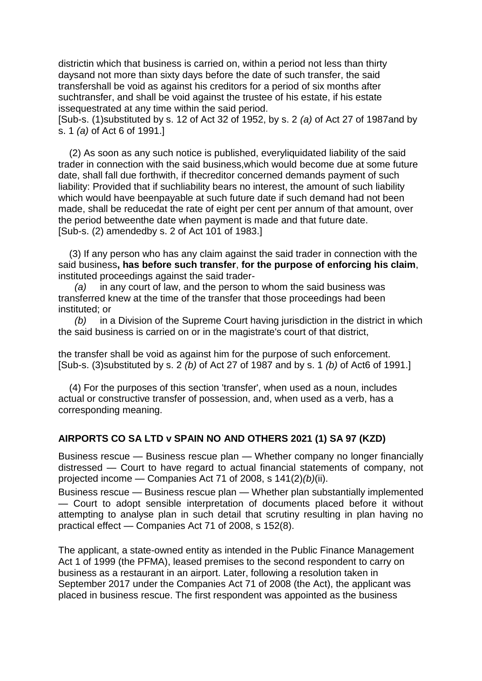districtin which that business is carried on, within a period not less than thirty daysand not more than sixty days before the date of such transfer, the said transfershall be void as against his creditors for a period of six months after suchtransfer, and shall be void against the trustee of his estate, if his estate issequestrated at any time within the said period.

[Sub-s. (1)substituted by s. 12 of Act 32 of 1952, by s. 2 *(a)* of Act 27 of 1987and by s. 1 *(a)* of Act 6 of 1991.]

 (2) As soon as any such notice is published, everyliquidated liability of the said trader in connection with the said business,which would become due at some future date, shall fall due forthwith, if thecreditor concerned demands payment of such liability: Provided that if suchliability bears no interest, the amount of such liability which would have beenpayable at such future date if such demand had not been made, shall be reducedat the rate of eight per cent per annum of that amount, over the period betweenthe date when payment is made and that future date. [Sub-s. (2) amendedby s. 2 of Act 101 of 1983.]

 (3) If any person who has any claim against the said trader in connection with the said business**, has before such transfer**, **for the purpose of enforcing his claim**, instituted proceedings against the said trader-

in any court of law, and the person to whom the said business was transferred knew at the time of the transfer that those proceedings had been instituted; or

 *(b)* in a Division of the Supreme Court having jurisdiction in the district in which the said business is carried on or in the magistrate's court of that district,

the transfer shall be void as against him for the purpose of such enforcement. [Sub-s. (3)substituted by s. 2 *(b)* of Act 27 of 1987 and by s. 1 *(b)* of Act6 of 1991.]

 (4) For the purposes of this section 'transfer', when used as a noun, includes actual or constructive transfer of possession, and, when used as a verb, has a corresponding meaning.

#### **AIRPORTS CO SA LTD v SPAIN NO AND OTHERS 2021 (1) SA 97 (KZD)**

Business rescue — Business rescue plan — Whether company no longer financially distressed — Court to have regard to actual financial statements of company, not projected income — Companies Act 71 of 2008, s 141(2)*(b)*(ii).

Business rescue — Business rescue plan — Whether plan substantially implemented — Court to adopt sensible interpretation of documents placed before it without attempting to analyse plan in such detail that scrutiny resulting in plan having no practical effect — Companies Act 71 of 2008, s 152(8).

The applicant, a state-owned entity as intended in the Public Finance Management Act 1 of 1999 (the PFMA), leased premises to the second respondent to carry on business as a restaurant in an airport. Later, following a resolution taken in September 2017 under the Companies Act 71 of 2008 (the Act), the applicant was placed in business rescue. The first respondent was appointed as the business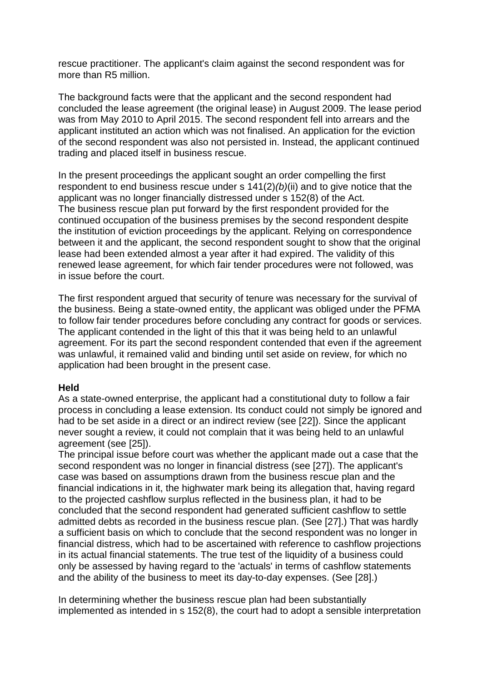rescue practitioner. The applicant's claim against the second respondent was for more than R5 million.

The background facts were that the applicant and the second respondent had concluded the lease agreement (the original lease) in August 2009. The lease period was from May 2010 to April 2015. The second respondent fell into arrears and the applicant instituted an action which was not finalised. An application for the eviction of the second respondent was also not persisted in. Instead, the applicant continued trading and placed itself in business rescue.

In the present proceedings the applicant sought an order compelling the first respondent to end business rescue under s 141(2)*(b)*(ii) and to give notice that the applicant was no longer financially distressed under s 152(8) of the Act. The business rescue plan put forward by the first respondent provided for the continued occupation of the business premises by the second respondent despite the institution of eviction proceedings by the applicant. Relying on correspondence between it and the applicant, the second respondent sought to show that the original lease had been extended almost a year after it had expired. The validity of this renewed lease agreement, for which fair tender procedures were not followed, was in issue before the court.

The first respondent argued that security of tenure was necessary for the survival of the business. Being a state-owned entity, the applicant was obliged under the PFMA to follow fair tender procedures before concluding any contract for goods or services. The applicant contended in the light of this that it was being held to an unlawful agreement. For its part the second respondent contended that even if the agreement was unlawful, it remained valid and binding until set aside on review, for which no application had been brought in the present case.

#### **Held**

As a state-owned enterprise, the applicant had a constitutional duty to follow a fair process in concluding a lease extension. Its conduct could not simply be ignored and had to be set aside in a direct or an indirect review (see [22]). Since the applicant never sought a review, it could not complain that it was being held to an unlawful agreement (see [25]).

The principal issue before court was whether the applicant made out a case that the second respondent was no longer in financial distress (see [27]). The applicant's case was based on assumptions drawn from the business rescue plan and the financial indications in it, the highwater mark being its allegation that, having regard to the projected cashflow surplus reflected in the business plan, it had to be concluded that the second respondent had generated sufficient cashflow to settle admitted debts as recorded in the business rescue plan. (See [27].) That was hardly a sufficient basis on which to conclude that the second respondent was no longer in financial distress, which had to be ascertained with reference to cashflow projections in its actual financial statements. The true test of the liquidity of a business could only be assessed by having regard to the 'actuals' in terms of cashflow statements and the ability of the business to meet its day-to-day expenses. (See [28].)

In determining whether the business rescue plan had been substantially implemented as intended in s 152(8), the court had to adopt a sensible interpretation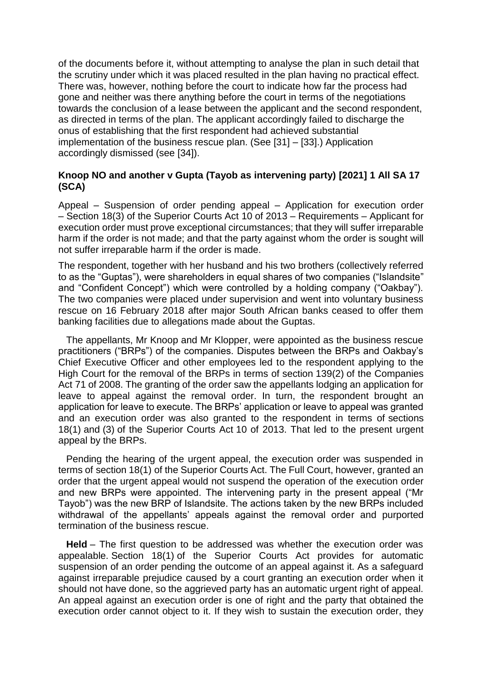of the documents before it, without attempting to analyse the plan in such detail that the scrutiny under which it was placed resulted in the plan having no practical effect. There was, however, nothing before the court to indicate how far the process had gone and neither was there anything before the court in terms of the negotiations towards the conclusion of a lease between the applicant and the second respondent, as directed in terms of the plan. The applicant accordingly failed to discharge the onus of establishing that the first respondent had achieved substantial implementation of the business rescue plan. (See [31] – [33].) Application accordingly dismissed (see [34]).

### **Knoop NO and another v Gupta (Tayob as intervening party) [2021] 1 All SA 17 (SCA)**

Appeal – Suspension of order pending appeal – Application for execution order – Section 18(3) of the Superior Courts Act 10 of 2013 – Requirements – Applicant for execution order must prove exceptional circumstances; that they will suffer irreparable harm if the order is not made; and that the party against whom the order is sought will not suffer irreparable harm if the order is made.

The respondent, together with her husband and his two brothers (collectively referred to as the "Guptas"), were shareholders in equal shares of two companies ("Islandsite" and "Confident Concept") which were controlled by a holding company ("Oakbay"). The two companies were placed under supervision and went into voluntary business rescue on 16 February 2018 after major South African banks ceased to offer them banking facilities due to allegations made about the Guptas.

The appellants, Mr Knoop and Mr Klopper, were appointed as the business rescue practitioners ("BRPs") of the companies. Disputes between the BRPs and Oakbay's Chief Executive Officer and other employees led to the respondent applying to the High Court for the removal of the BRPs in terms of section 139(2) of the Companies Act 71 of 2008. The granting of the order saw the appellants lodging an application for leave to appeal against the removal order. In turn, the respondent brought an application for leave to execute. The BRPs' application or leave to appeal was granted and an execution order was also granted to the respondent in terms of sections 18(1) and (3) of the Superior Courts Act 10 of 2013. That led to the present urgent appeal by the BRPs.

Pending the hearing of the urgent appeal, the execution order was suspended in terms of section 18(1) of the Superior Courts Act. The Full Court, however, granted an order that the urgent appeal would not suspend the operation of the execution order and new BRPs were appointed. The intervening party in the present appeal ("Mr Tayob") was the new BRP of Islandsite. The actions taken by the new BRPs included withdrawal of the appellants' appeals against the removal order and purported termination of the business rescue.

**Held** – The first question to be addressed was whether the execution order was appealable. Section 18(1) of the Superior Courts Act provides for automatic suspension of an order pending the outcome of an appeal against it. As a safeguard against irreparable prejudice caused by a court granting an execution order when it should not have done, so the aggrieved party has an automatic urgent right of appeal. An appeal against an execution order is one of right and the party that obtained the execution order cannot object to it. If they wish to sustain the execution order, they